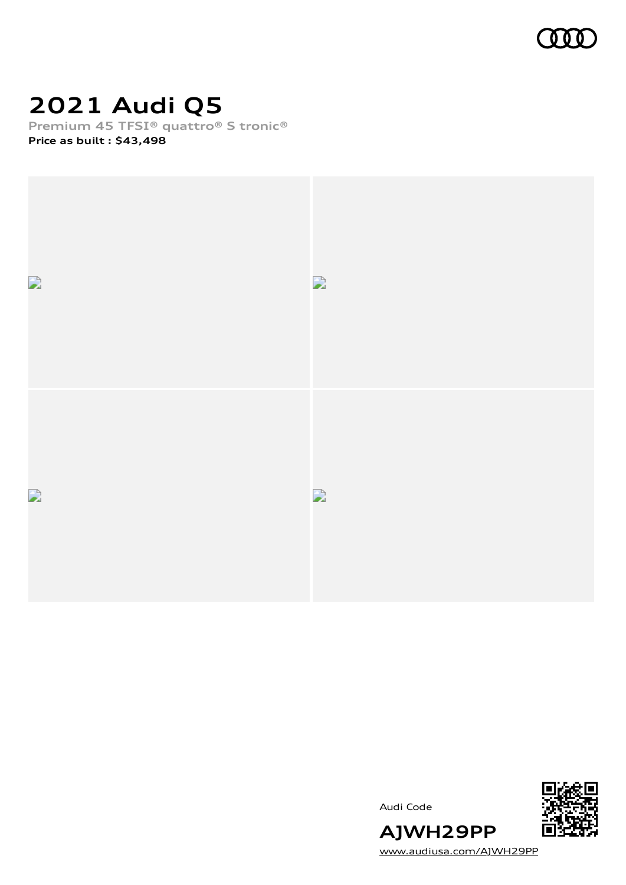

### **2021 Audi Q5**

**Premium 45 TFSI® quattro® S tronic®**

**Price as built [:](#page-10-0) \$43,498**







[www.audiusa.com/AJWH29PP](https://www.audiusa.com/AJWH29PP)

**AJWH29PP**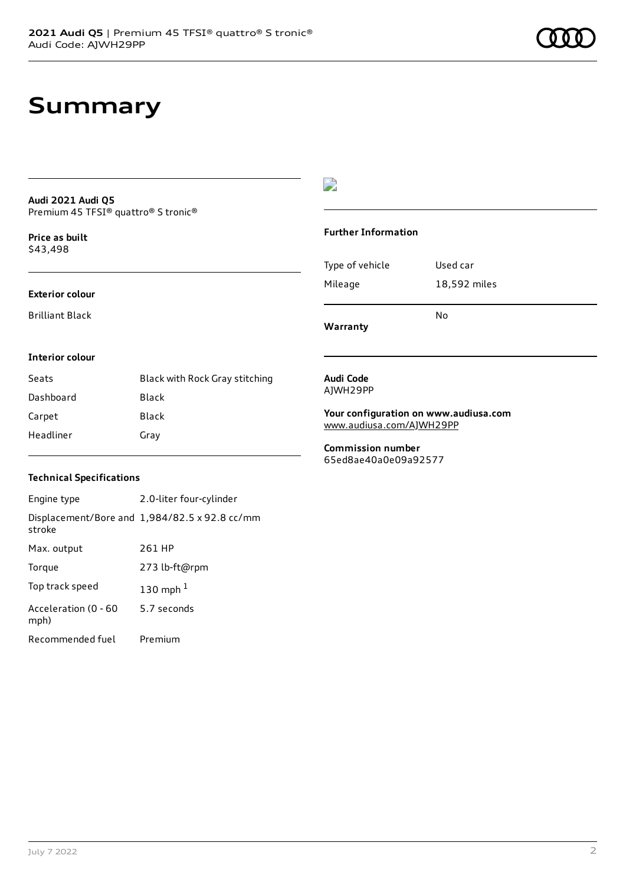### **Summary**

#### **Audi 2021 Audi Q5** Premium 45 TFSI® quattro® S tronic®

**Price as buil[t](#page-10-0)** \$43,498

#### **Exterior colour**

Brilliant Black

### $\overline{\phantom{a}}$

#### **Further Information**

|                 | N٥           |
|-----------------|--------------|
| Mileage         | 18,592 miles |
| Type of vehicle | Used car     |

**Warranty**

#### **Interior colour**

| Seats     | Black with Rock Gray stitching |
|-----------|--------------------------------|
| Dashboard | Black                          |
| Carpet    | Black                          |
| Headliner | Gray                           |

#### **Audi Code** AJWH29PP

**Your configuration on www.audiusa.com** [www.audiusa.com/AJWH29PP](https://www.audiusa.com/AJWH29PP)

**Commission number** 65ed8ae40a0e09a92577

### **Technical Specifications**

| Engine type                  | 2.0-liter four-cylinder                       |
|------------------------------|-----------------------------------------------|
| stroke                       | Displacement/Bore and 1,984/82.5 x 92.8 cc/mm |
| Max. output                  | 261 HP                                        |
| Torque                       | 273 lb-ft@rpm                                 |
| Top track speed              | 130 mph $1$                                   |
| Acceleration (0 - 60<br>mph) | 5.7 seconds                                   |
| Recommended fuel             | Premium                                       |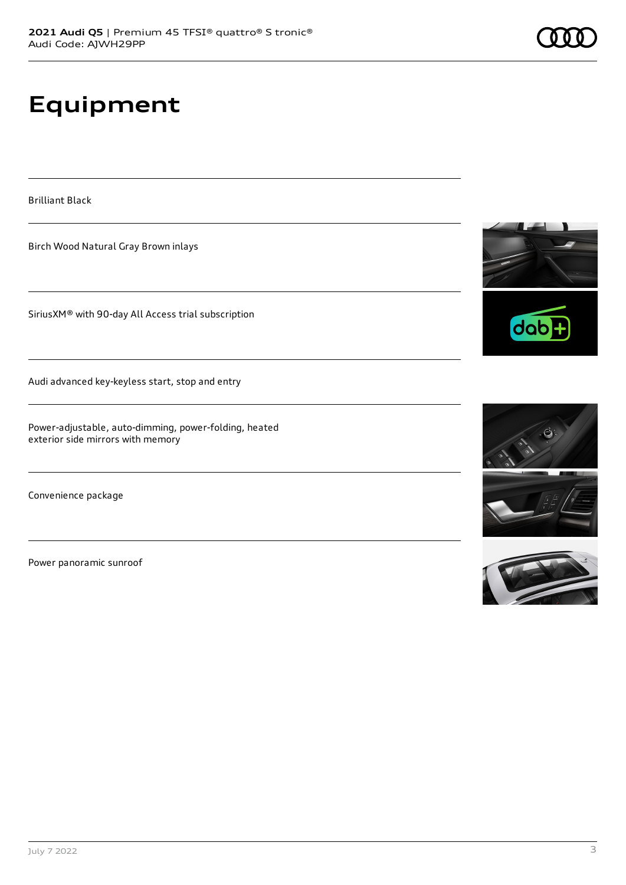# **Equipment**

Brilliant Black

Birch Wood Natural Gray Brown inlays

SiriusXM® with 90-day All Access trial subscription

Audi advanced key-keyless start, stop and entry

Power-adjustable, auto-dimming, power-folding, heated exterior side mirrors with memory

Convenience package

Power panoramic sunroof







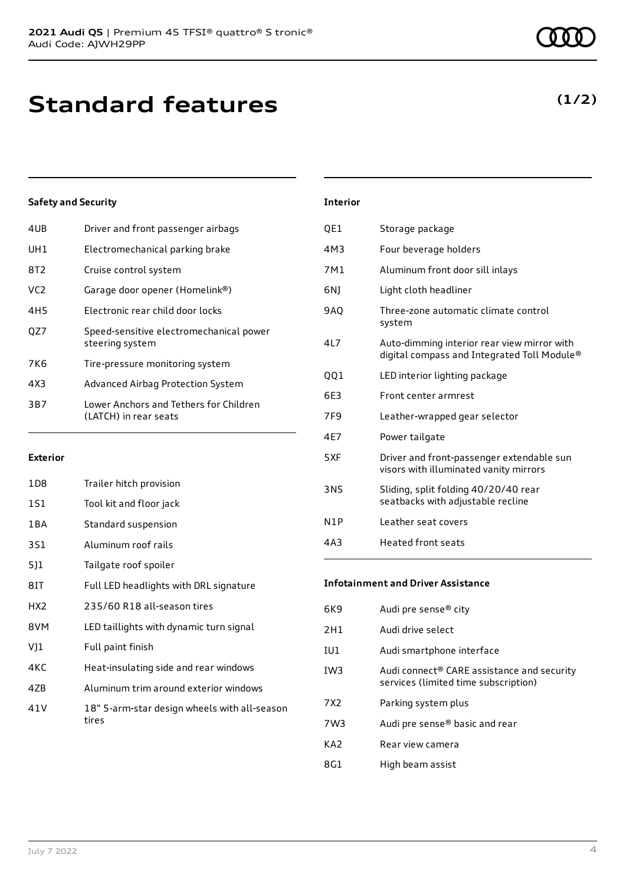| 4UB | Driver and front passenger airbags                              |
|-----|-----------------------------------------------------------------|
| UH1 | Electromechanical parking brake                                 |
| 8T2 | Cruise control system                                           |
| VC2 | Garage door opener (Homelink®)                                  |
| 4H5 | Electronic rear child door locks                                |
| OZ7 | Speed-sensitive electromechanical power<br>steering system      |
| 7K6 | Tire-pressure monitoring system                                 |
| 4X3 | Advanced Airbag Protection System                               |
| 3B7 | Lower Anchors and Tethers for Children<br>(LATCH) in rear seats |

#### **Exterior**

| 1D8   | Trailer hitch provision                               |
|-------|-------------------------------------------------------|
| 1S1   | Tool kit and floor jack                               |
| 1 B A | Standard suspension                                   |
| 3S1   | Aluminum roof rails                                   |
| 511   | Tailgate roof spoiler                                 |
| 8IT   | Full LED headlights with DRL signature                |
| HX2   | 235/60 R18 all-season tires                           |
| 8VM   | LED taillights with dynamic turn signal               |
| VJ1   | Full paint finish                                     |
| 4KC   | Heat-insulating side and rear windows                 |
| 4ZB   | Aluminum trim around exterior windows                 |
| 41 V  | 18" 5-arm-star design wheels with all-season<br>tires |

### **Interior** QE1 Storage package 4M3 Four beverage holders 7M1 Aluminum front door sill inlays 6NJ Light cloth headliner 9AQ Three-zone automatic climate control system 4L7 Auto-dimming interior rear view mirror with digital compass and Integrated Toll Module® QQ1 LED interior lighting package 6E3 Front center armrest 7F9 Leather-wrapped gear selector 4E7 Power tailgate 5XF Driver and front-passenger extendable sun visors with illuminated vanity mirrors

| 3NS              | Sliding, split folding 40/20/40 rear<br>seatbacks with adjustable recline |
|------------------|---------------------------------------------------------------------------|
| N <sub>1</sub> P | Leather seat covers                                                       |

| Heated front seats<br>4A3 |
|---------------------------|
|---------------------------|

### **Infotainment and Driver Assistance**

| 6K9             | Audi pre sense® city                                                                           |
|-----------------|------------------------------------------------------------------------------------------------|
| 2H1             | Audi drive select                                                                              |
| IU1             | Audi smartphone interface                                                                      |
| IW <sub>3</sub> | Audi connect <sup>®</sup> CARE assistance and security<br>services (limited time subscription) |
| 7X2             | Parking system plus                                                                            |
| 7W3             | Audi pre sense <sup>®</sup> basic and rear                                                     |
| KA <sub>2</sub> | Rear view camera                                                                               |
| 8G1             | High beam assist                                                                               |
|                 |                                                                                                |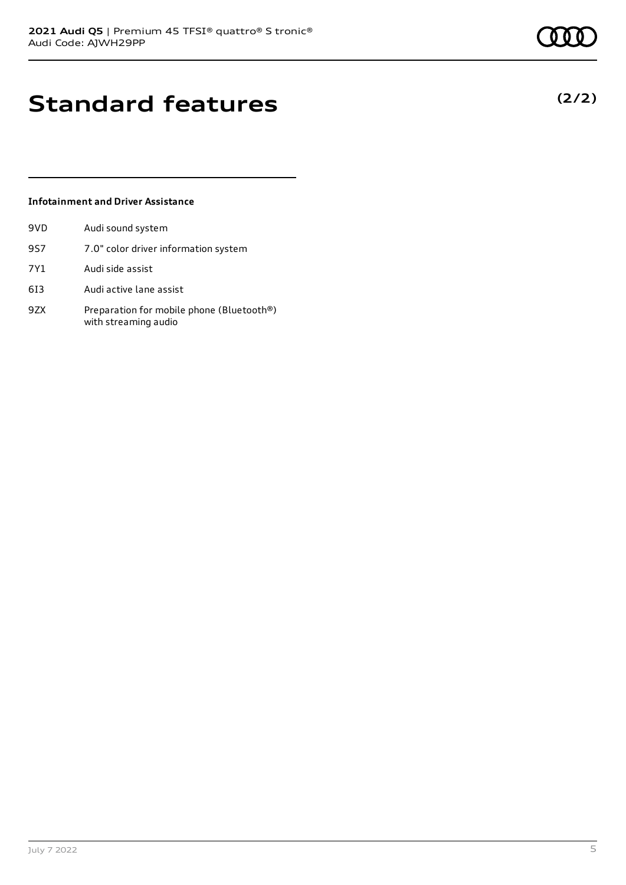**(2/2)**

### **Standard features**

### **Infotainment and Driver Assistance**

| 9VD | Audi sound system                                                 |
|-----|-------------------------------------------------------------------|
| 9S7 | 7.0" color driver information system                              |
| 7Y1 | Audi side assist                                                  |
| 613 | Audi active lane assist                                           |
| 9ZX | Preparation for mobile phone (Bluetooth®)<br>with streaming audio |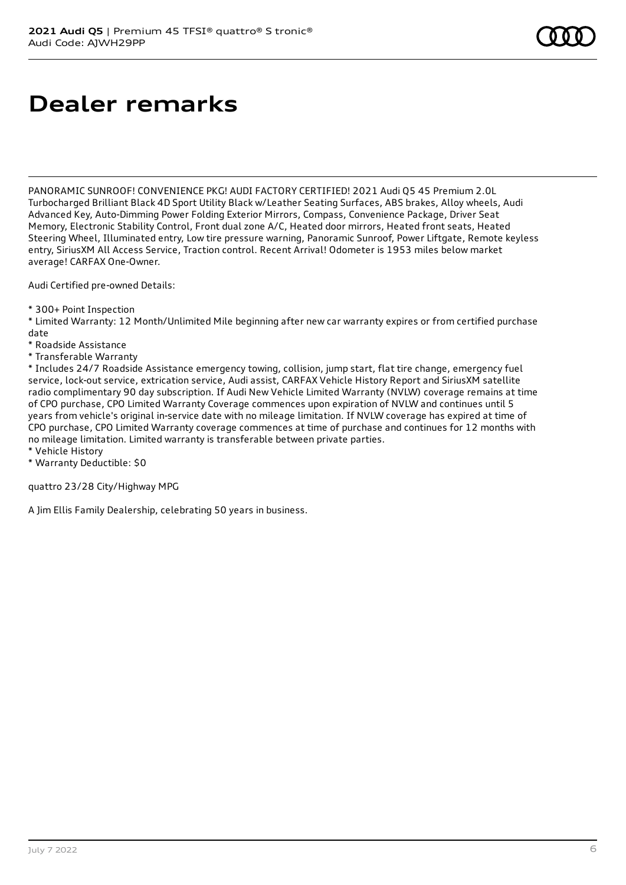### **Dealer remarks**

PANORAMIC SUNROOF! CONVENIENCE PKG! AUDI FACTORY CERTIFIED! 2021 Audi Q5 45 Premium 2.0L Turbocharged Brilliant Black 4D Sport Utility Black w/Leather Seating Surfaces, ABS brakes, Alloy wheels, Audi Advanced Key, Auto-Dimming Power Folding Exterior Mirrors, Compass, Convenience Package, Driver Seat Memory, Electronic Stability Control, Front dual zone A/C, Heated door mirrors, Heated front seats, Heated Steering Wheel, Illuminated entry, Low tire pressure warning, Panoramic Sunroof, Power Liftgate, Remote keyless entry, SiriusXM All Access Service, Traction control. Recent Arrival! Odometer is 1953 miles below market average! CARFAX One-Owner.

Audi Certified pre-owned Details:

#### \* 300+ Point Inspection

\* Limited Warranty: 12 Month/Unlimited Mile beginning after new car warranty expires or from certified purchase date

\* Roadside Assistance

\* Transferable Warranty

\* Includes 24/7 Roadside Assistance emergency towing, collision, jump start, flat tire change, emergency fuel service, lock-out service, extrication service, Audi assist, CARFAX Vehicle History Report and SiriusXM satellite radio complimentary 90 day subscription. If Audi New Vehicle Limited Warranty (NVLW) coverage remains at time of CPO purchase, CPO Limited Warranty Coverage commences upon expiration of NVLW and continues until 5 years from vehicle's original in-service date with no mileage limitation. If NVLW coverage has expired at time of CPO purchase, CPO Limited Warranty coverage commences at time of purchase and continues for 12 months with no mileage limitation. Limited warranty is transferable between private parties.

\* Vehicle History

\* Warranty Deductible: \$0

quattro 23/28 City/Highway MPG

A Jim Ellis Family Dealership, celebrating 50 years in business.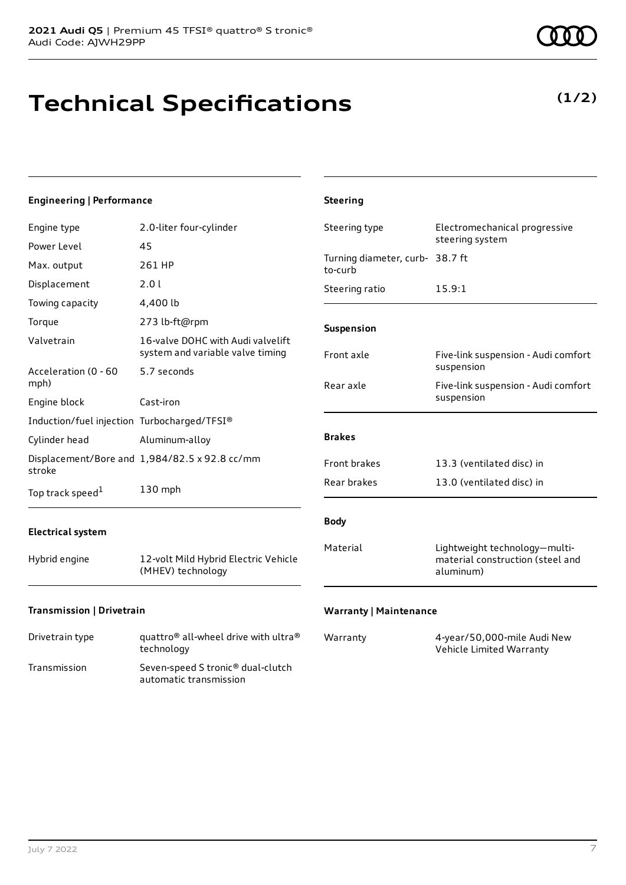## **Technical Specifications**

#### July 7 2022 7

| <b>Engineering   Performance</b>            |                                                                       | <b>Steering</b>                            |                                                                                |
|---------------------------------------------|-----------------------------------------------------------------------|--------------------------------------------|--------------------------------------------------------------------------------|
| Engine type                                 | 2.0-liter four-cylinder                                               | Steering type                              | Electromechanical progressive<br>steering system                               |
| Power Level                                 | 45                                                                    |                                            |                                                                                |
| Max. output                                 | 261 HP                                                                | Turning diameter, curb- 38.7 ft<br>to-curb |                                                                                |
| Displacement                                | 2.0 l                                                                 | Steering ratio                             | 15.9:1                                                                         |
| Towing capacity                             | 4,400 lb                                                              |                                            |                                                                                |
| Torque                                      | 273 lb-ft@rpm                                                         | Suspension                                 |                                                                                |
| Valvetrain                                  | 16-valve DOHC with Audi valvelift<br>system and variable valve timing | Front axle                                 | Five-link suspension - Audi comfort                                            |
| Acceleration (0 - 60                        | 5.7 seconds                                                           |                                            | suspension                                                                     |
| mph)                                        |                                                                       | Rear axle                                  | Five-link suspension - Audi comfort<br>suspension                              |
| Engine block                                | Cast-iron                                                             |                                            |                                                                                |
| Induction/fuel injection Turbocharged/TFSI® |                                                                       |                                            |                                                                                |
| Cylinder head                               | Aluminum-alloy                                                        | <b>Brakes</b>                              |                                                                                |
| stroke                                      | Displacement/Bore and 1,984/82.5 x 92.8 cc/mm                         | Front brakes                               | 13.3 (ventilated disc) in                                                      |
| Top track speed <sup>1</sup>                | 130 mph                                                               | Rear brakes                                | 13.0 (ventilated disc) in                                                      |
| <b>Electrical system</b>                    |                                                                       | <b>Body</b>                                |                                                                                |
| Hybrid engine                               | 12-volt Mild Hybrid Electric Vehicle<br>(MHEV) technology             | Material                                   | Lightweight technology-multi-<br>material construction (steel and<br>aluminum) |
|                                             |                                                                       |                                            |                                                                                |

### **Transmission | Drivetrain**

| Drivetrain type | quattro <sup>®</sup> all-wheel drive with ultra <sup>®</sup><br>technology |
|-----------------|----------------------------------------------------------------------------|
| Transmission    | Seven-speed S tronic <sup>®</sup> dual-clutch<br>automatic transmission    |

#### **Warranty | Maintenance**

| Warranty | 4-year/50,000-mile Audi New |
|----------|-----------------------------|
|          | Vehicle Limited Warranty    |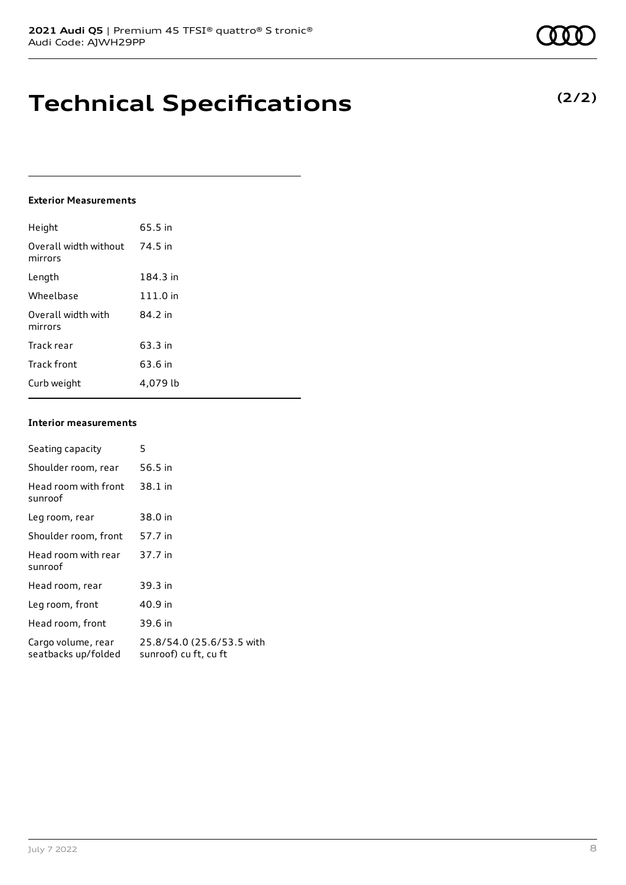### **Technical Specifications**

### **Exterior Measurements**

| Height                           | 65.5 in  |
|----------------------------------|----------|
| Overall width without<br>mirrors | 74.5 in  |
| Length                           | 184.3 in |
| Wheelbase                        | 111.0 in |
| Overall width with<br>mirrors    | 84.2 in  |
| Track rear                       | 63.3 in  |
| Track front                      | 63.6 in  |
| Curb weight                      | 4.079 lb |

### **Interior measurements**

| Seating capacity                          | 5                                                  |
|-------------------------------------------|----------------------------------------------------|
| Shoulder room, rear                       | 56.5 in                                            |
| Head room with front<br>sunroof           | 38.1 in                                            |
| Leg room, rear                            | 38.0 in                                            |
| Shoulder room, front                      | 57.7 in                                            |
| Head room with rear<br>sunroof            | 37.7 in                                            |
| Head room, rear                           | 39.3 in                                            |
| Leg room, front                           | 40.9 in                                            |
| Head room, front                          | 39.6 in                                            |
| Cargo volume, rear<br>seatbacks up/folded | 25.8/54.0 (25.6/53.5 with<br>sunroof) cu ft, cu ft |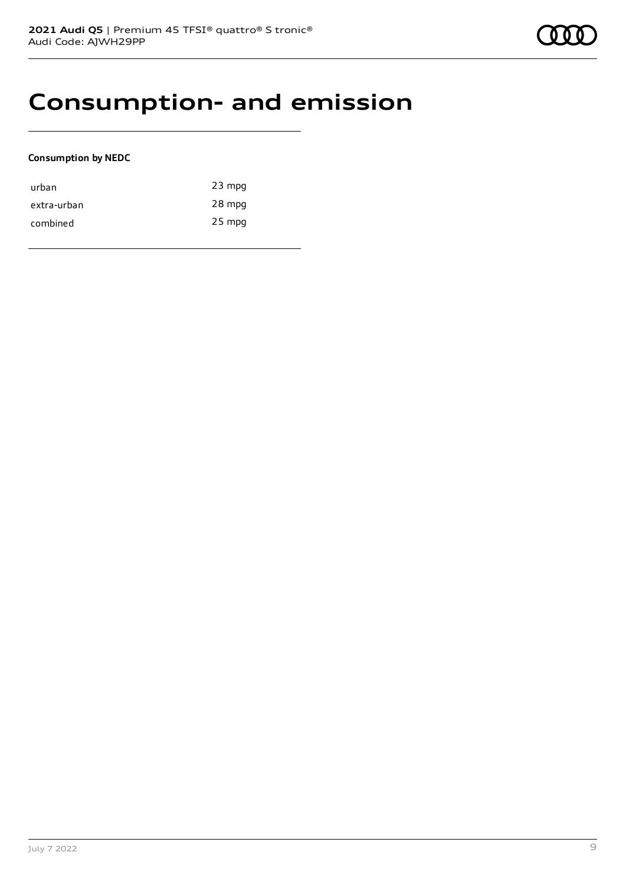### **Consumption- and emission**

### **Consumption by NEDC**

| urban       | $23$ mpg |
|-------------|----------|
| extra-urban | 28 mpg   |
| combined    | $25$ mpg |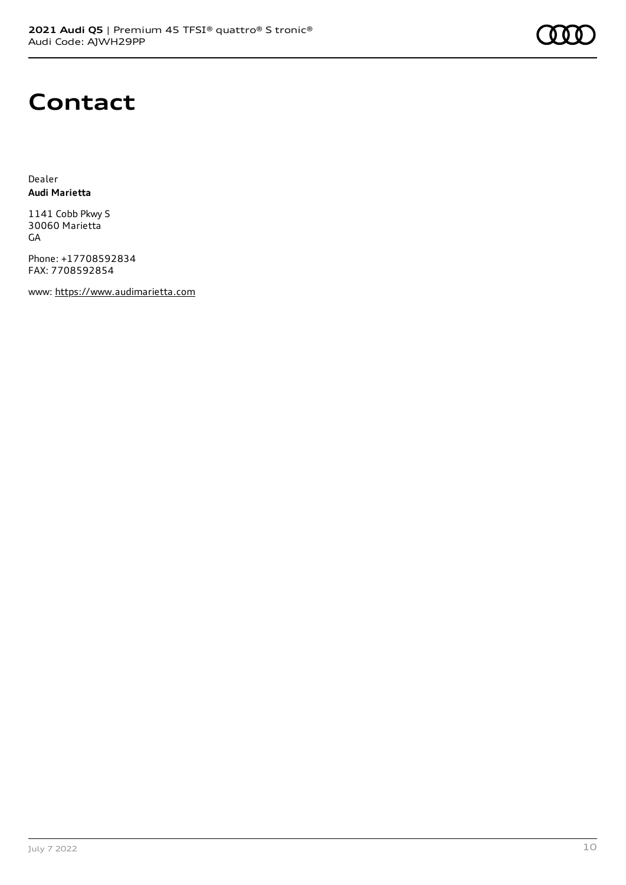

### **Contact**

Dealer **Audi Marietta**

1141 Cobb Pkwy S 30060 Marietta GA

Phone: +17708592834 FAX: 7708592854

www: [https://www.audimarietta.com](https://www.audimarietta.com/)